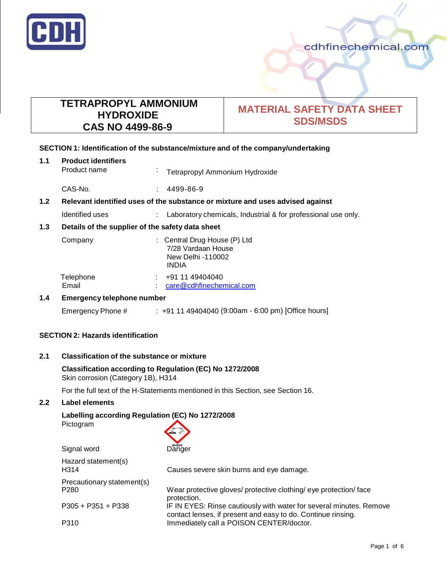

# **TETRAPROPYL AMMONIUM HYDROXIDE CAS NO 4499-86-9**

# **MATERIAL SAFETY DATA SHEET SDS/MSDS**

#### **SECTION 1: Identification of the substance/mixture and of the company/undertaking**

| 1.1              | <b>Product identifiers</b><br>Product name                                    | ٠ | <b>Tetrapropyl Ammonium Hydroxide</b>                                            |
|------------------|-------------------------------------------------------------------------------|---|----------------------------------------------------------------------------------|
|                  | CAS-No.                                                                       |   | 4499-86-9                                                                        |
| 1.2 <sub>2</sub> | Relevant identified uses of the substance or mixture and uses advised against |   |                                                                                  |
|                  | Identified uses                                                               | ÷ | Laboratory chemicals, Industrial & for professional use only.                    |
| 1.3              | Details of the supplier of the safety data sheet                              |   |                                                                                  |
|                  | Company                                                                       |   | : Central Drug House (P) Ltd<br>7/28 Vardaan House<br>New Delhi -110002<br>INDIA |
|                  | Telephone<br>Email                                                            |   | +91 11 49404040<br>care@cdhfinechemical.com                                      |
| 1.4              | <b>Emergency telephone number</b>                                             |   |                                                                                  |

Emergency Phone # : +91 11 49404040 (9:00am - 6:00 pm) [Office hours]

# **SECTION 2: Hazards identification**

**2.1 Classification of the substance or mixture**

#### **Classification according to Regulation (EC) No 1272/2008** Skin corrosion (Category 1B), H314

For the full text of the H-Statements mentioned in this Section, see Section 16.

### **2.2 Label elements**

# **Labelling according Regulation (EC) No 1272/2008**

Pictogram



| Hazard statement(s)<br>H314        | Causes severe skin burns and eye damage.                                                                                            |
|------------------------------------|-------------------------------------------------------------------------------------------------------------------------------------|
| Precautionary statement(s)<br>P280 | Wear protective gloves/ protective clothing/ eye protection/ face<br>protection.                                                    |
| P305 + P351 + P338                 | IF IN EYES: Rinse cautiously with water for several minutes. Remove<br>contact lenses, if present and easy to do. Continue rinsing. |
| P310                               | Immediately call a POISON CENTER/doctor.                                                                                            |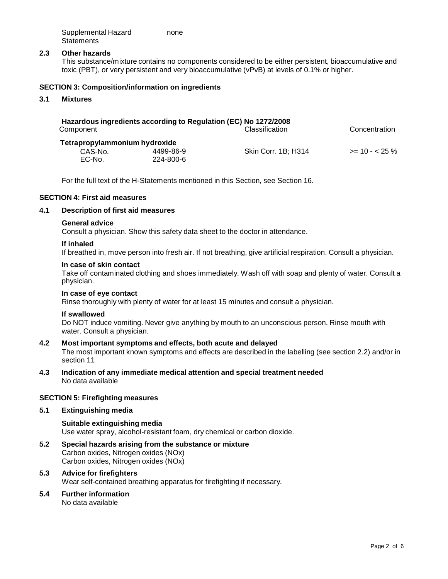| Supplemental Hazard | none |
|---------------------|------|
| Statements          |      |

#### **2.3 Other hazards**

This substance/mixture contains no components considered to be either persistent, bioaccumulative and toxic (PBT), or very persistent and very bioaccumulative (vPvB) at levels of 0.1% or higher.

#### **SECTION 3: Composition/information on ingredients**

#### **3.1 Mixtures**

| Component                     | Hazardous ingredients according to Regulation (EC) No 1272/2008 | Classification             | Concentration    |
|-------------------------------|-----------------------------------------------------------------|----------------------------|------------------|
| Tetrapropylammonium hydroxide |                                                                 |                            |                  |
| CAS-No.                       | 4499-86-9                                                       | <b>Skin Corr. 1B: H314</b> | $>= 10 - 525 \%$ |
| EC-No.                        | 224-800-6                                                       |                            |                  |

For the full text of the H-Statements mentioned in this Section, see Section 16.

#### **SECTION 4: First aid measures**

#### **4.1 Description of first aid measures**

#### **General advice**

Consult a physician. Show this safety data sheet to the doctor in attendance.

#### **If inhaled**

If breathed in, move person into fresh air. If not breathing, give artificial respiration. Consult a physician.

#### **In case of skin contact**

Take off contaminated clothing and shoes immediately. Wash off with soap and plenty of water. Consult a physician.

#### **In case of eye contact**

Rinse thoroughly with plenty of water for at least 15 minutes and consult a physician.

#### **If swallowed**

Do NOT induce vomiting. Never give anything by mouth to an unconscious person. Rinse mouth with water. Consult a physician.

#### **4.2 Most important symptoms and effects, both acute and delayed**

The most important known symptoms and effects are described in the labelling (see section 2.2) and/or in section 11

#### **4.3 Indication of any immediate medical attention and special treatment needed** No data available

#### **SECTION 5: Firefighting measures**

#### **5.1 Extinguishing media**

**Suitable extinguishing media** Use water spray, alcohol-resistant foam, dry chemical or carbon dioxide.

- **5.2 Special hazards arising from the substance or mixture** Carbon oxides, Nitrogen oxides (NOx) Carbon oxides, Nitrogen oxides (NOx)
- **5.3 Advice for firefighters** Wear self-contained breathing apparatus for firefighting if necessary.
- **5.4 Further information** No data available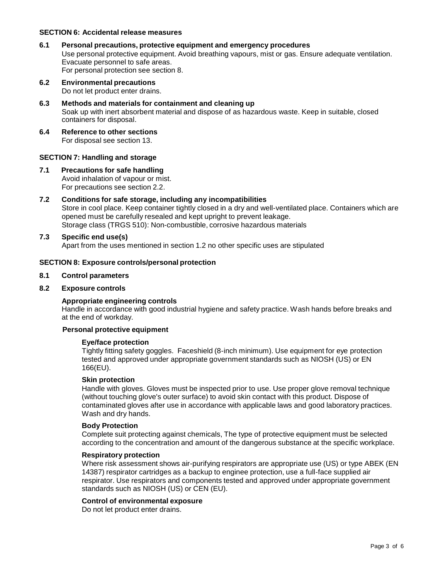#### **SECTION 6: Accidental release measures**

# **6.1 Personal precautions, protective equipment and emergency procedures** Use personal protective equipment. Avoid breathing vapours, mist or gas. Ensure adequate ventilation. Evacuate personnel to safe areas.

For personal protection see section 8.

- **6.2 Environmental precautions** Do not let product enter drains.
- **6.3 Methods and materials for containment and cleaning up** Soak up with inert absorbent material and dispose of as hazardous waste. Keep in suitable, closed containers for disposal.
- **6.4 Reference to other sections** For disposal see section 13.

#### **SECTION 7: Handling and storage**

**7.1 Precautions for safe handling**  Avoid inhalation of vapour or mist. For precautions see section 2.2.

#### **7.2 Conditions for safe storage, including any incompatibilities**

Store in cool place. Keep container tightly closed in a dry and well-ventilated place. Containers which are opened must be carefully resealed and kept upright to prevent leakage. Storage class (TRGS 510): Non-combustible, corrosive hazardous materials

#### **7.3 Specific end use(s)**

Apart from the uses mentioned in section 1.2 no other specific uses are stipulated

#### **SECTION 8: Exposure controls/personal protection**

#### **8.1 Control parameters**

#### **8.2 Exposure controls**

#### **Appropriate engineering controls**

Handle in accordance with good industrial hygiene and safety practice. Wash hands before breaks and at the end of workday.

#### **Personal protective equipment**

#### **Eye/face protection**

Tightly fitting safety goggles. Faceshield (8-inch minimum). Use equipment for eye protection tested and approved under appropriate government standards such as NIOSH (US) or EN 166(EU).

#### **Skin protection**

Handle with gloves. Gloves must be inspected prior to use. Use proper glove removal technique (without touching glove's outer surface) to avoid skin contact with this product. Dispose of contaminated gloves after use in accordance with applicable laws and good laboratory practices. Wash and dry hands.

#### **Body Protection**

Complete suit protecting against chemicals, The type of protective equipment must be selected according to the concentration and amount of the dangerous substance at the specific workplace.

#### **Respiratory protection**

Where risk assessment shows air-purifying respirators are appropriate use (US) or type ABEK (EN 14387) respirator cartridges as a backup to enginee protection, use a full-face supplied air respirator. Use respirators and components tested and approved under appropriate government standards such as NIOSH (US) or CEN (EU).

#### **Control of environmental exposure**

Do not let product enter drains.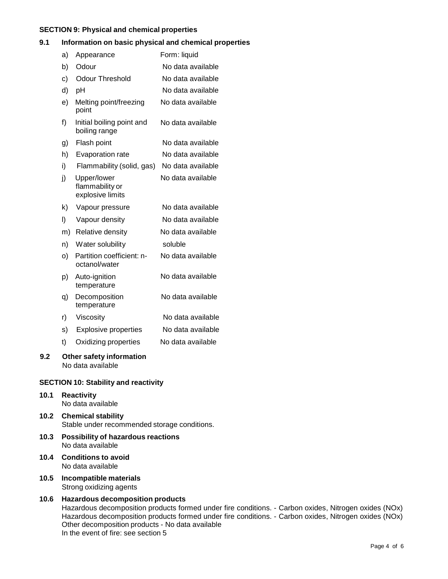#### **SECTION 9: Physical and chemical properties**

#### **9.1 Information on basic physical and chemical properties**

| a) | Appearance                                         | Form: liquid      |
|----|----------------------------------------------------|-------------------|
| b) | Odour                                              | No data available |
| c) | Odour Threshold                                    | No data available |
| d) | рH                                                 | No data available |
| e) | Melting point/freezing<br>point                    | No data available |
| f) | Initial boiling point and<br>boiling range         | No data available |
| g) | Flash point                                        | No data available |
| h) | Evaporation rate                                   | No data available |
| i) | Flammability (solid, gas)                          | No data available |
| j) | Upper/lower<br>flammability or<br>explosive limits | No data available |
| k) | Vapour pressure                                    | No data available |
| I) | Vapour density                                     | No data available |
| m) | Relative density                                   | No data available |
| n) | Water solubility                                   | soluble           |
| o) | Partition coefficient: n-<br>octanol/water         | No data available |
| p) | Auto-ignition<br>temperature                       | No data available |
| q) | Decomposition<br>temperature                       | No data available |
| r) | Viscosity                                          | No data available |
| s) | <b>Explosive properties</b>                        | No data available |
| t) | Oxidizing properties                               | No data available |

#### **9.2 Other safety information** No data available

#### **SECTION 10: Stability and reactivity**

- **10.1 Reactivity** No data available
- **10.2 Chemical stability** Stable under recommended storage conditions.
- **10.3 Possibility of hazardous reactions** No data available
- **10.4 Conditions to avoid** No data available
- **10.5 Incompatible materials** Strong oxidizing agents

# **10.6 Hazardous decomposition products**

Hazardous decomposition products formed under fire conditions. - Carbon oxides, Nitrogen oxides (NOx) Hazardous decomposition products formed under fire conditions. - Carbon oxides, Nitrogen oxides (NOx) Other decomposition products - No data available In the event of fire: see section 5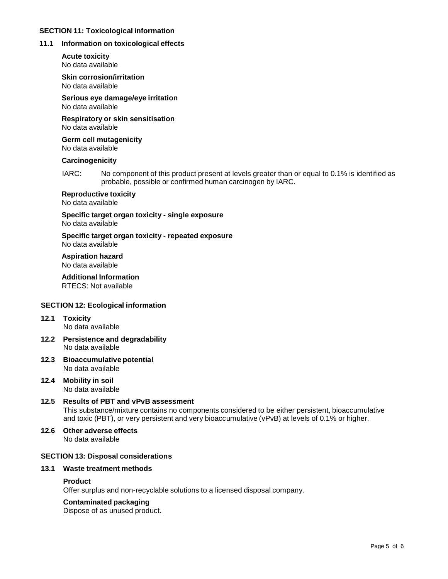#### **SECTION 11: Toxicological information**

# **11.1 Information on toxicological effects**

**Acute toxicity** No data available

**Skin corrosion/irritation** No data available

**Serious eye damage/eye irritation** No data available

**Respiratory or skin sensitisation** No data available

**Germ cell mutagenicity** No data available

### **Carcinogenicity**

IARC: No component of this product present at levels greater than or equal to 0.1% is identified as probable, possible or confirmed human carcinogen by IARC.

**Reproductive toxicity** No data available

**Specific target organ toxicity - single exposure** No data available

**Specific target organ toxicity - repeated exposure** No data available

**Aspiration hazard** No data available

**Additional Information** RTECS: Not available

#### **SECTION 12: Ecological information**

- **12.1 Toxicity** No data available
- **12.2 Persistence and degradability** No data available
- **12.3 Bioaccumulative potential** No data available
- **12.4 Mobility in soil** No data available

# **12.5 Results of PBT and vPvB assessment**

This substance/mixture contains no components considered to be either persistent, bioaccumulative and toxic (PBT), or very persistent and very bioaccumulative (vPvB) at levels of 0.1% or higher.

**12.6 Other adverse effects** No data available

#### **SECTION 13: Disposal considerations**

#### **13.1 Waste treatment methods**

#### **Product**

Offer surplus and non-recyclable solutions to a licensed disposal company.

## **Contaminated packaging**

Dispose of as unused product.